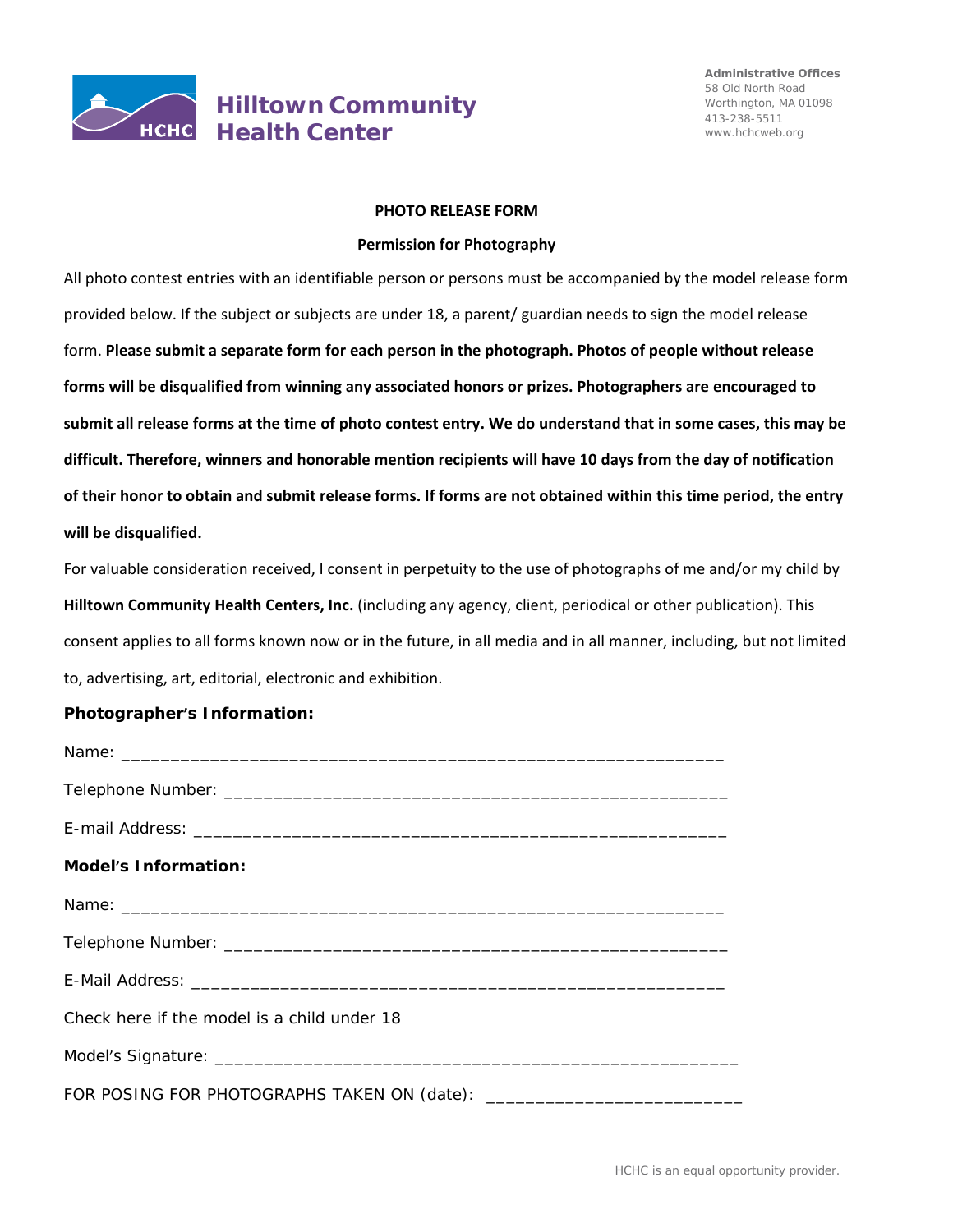

## **Hilltown Community Health Center**

## **PHOTO RELEASE FORM**

## **Permission for Photography**

All photo contest entries with an identifiable person or persons must be accompanied by the model release form provided below. If the subject or subjects are under 18, a parent/ guardian needs to sign the model release form. **Please submit a separate form for each person in the photograph. Photos of people without release forms will be disqualified from winning any associated honors or prizes. Photographers are encouraged to** submit all release forms at the time of photo contest entry. We do understand that in some cases, this may be **difficult. Therefore, winners and honorable mention recipients will have 10 days from the day of notification** of their honor to obtain and submit release forms. If forms are not obtained within this time period, the entry **will be disqualified.**

For valuable consideration received, I consent in perpetuity to the use of photographs of me and/or my child by **Hilltown Community Health Centers, Inc.** (including any agency, client, periodical or other publication). This consent applies to all forms known now or in the future, in all media and in all manner, including, but not limited to, advertising, art, editorial, electronic and exhibition.

## **Photographer's Information:**

| <b>Model's Information:</b>                 |
|---------------------------------------------|
|                                             |
|                                             |
|                                             |
| Check here if the model is a child under 18 |
|                                             |
|                                             |